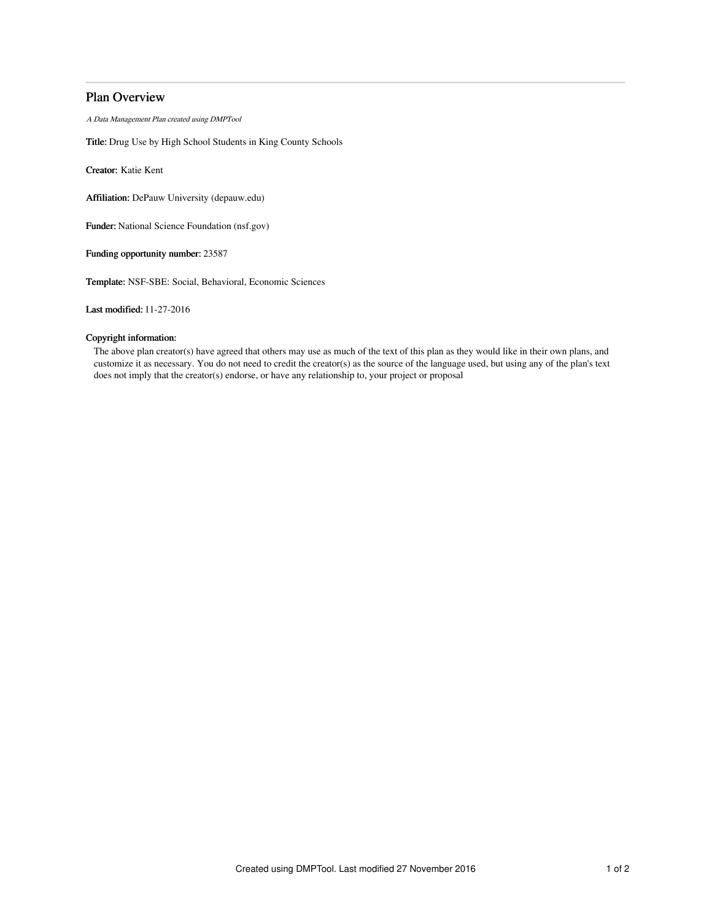# Plan Overview

A Data Management Plan created using DMPTool

Title: Drug Use by High School Students in King County Schools

Creator: Katie Kent

Affiliation: DePauw University (depauw.edu)

Funder: National Science Foundation (nsf.gov)

Funding opportunity number: 23587

Template: NSF-SBE: Social, Behavioral, Economic Sciences

Last modified: 11-27-2016

# Copyright information:

The above plan creator(s) have agreed that others may use as much of the text of this plan as they would like in their own plans, and customize it as necessary. You do not need to credit the creator(s) as the source of the language used, but using any of the plan's text does not imply that the creator(s) endorse, or have any relationship to, your project or proposal